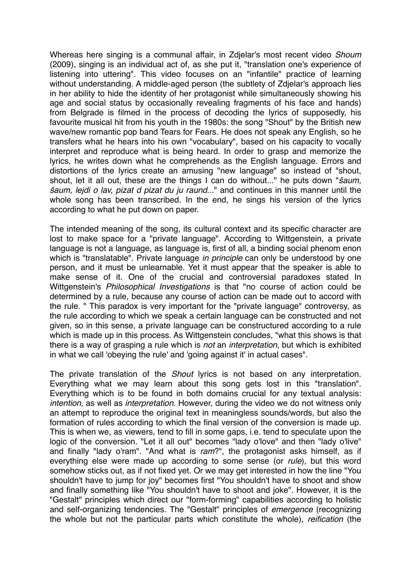Whereas here singing is a communal affair, in Zdjelar's most recent video *Shoum* (2009), singing is an individual act of, as she put it, "translation one's experience of listening into uttering". This video focuses on an "infantile" practice of learning without understanding. A middle-aged person (the subtlety of Zdjelar's approach lies in her ability to hide the identity of her protagonist while simultaneously showing his age and social status by occasionally revealing fragments of his face and hands) from Belgrade is filmed in the process of decoding the lyrics of supposedly, his favourite musical hit from his youth in the 1980s: the song "Shout" by the British new wave/new romantic pop band Tears for Fears. He does not speak any English, so he transfers what he hears into his own "vocabulary", based on his capacity to vocally interpret and reproduce what is being heard. In order to grasp and memorize the lyrics, he writes down what he comprehends as the English language. Errors and distortions of the lyrics create an amusing "new language" so instead of "shout, shout, let it all out, these are the things I can do without..." he puts down "š*aum,*  š*aum, lejdi o lav, pizat d pizat du ju raund*..." and continues in this manner until the whole song has been transcribed. In the end, he sings his version of the lyrics according to what he put down on paper.

The intended meaning of the song, its cultural context and its specific character are lost to make space for a "private language". According to Wittgenstein, a private language is not a language, as language is, first of all, a binding social phenom enon which is "translatable". Private language *in principle* can only be understood by one person, and it must be unlearnable. Yet it must appear that the speaker is able to make sense of it. One of the crucial and controversial paradoxes stated In Wittgenstein's *Philosophical Investigations* is that "no course of action could be determined by a rule, because any course of action can be made out to accord with the rule. " This paradox is very important for the "private language" controversy, as the rule according to which we speak a certain language can be constructed and not given, so in this sense, a private language can be constructured according to a rule which is made up in this process. As Wittgenstein concludes, "what this shows is that there is a way of grasping a rule which is *not* an *interpretation*, but which is exhibited in what we call 'obeying the rule' and 'going against it' in actual cases".

The private translation of the *Shout* lyrics is not based on any interpretation. Everything what we may learn about this song gets lost in this "translation". Everything which is to be found in both domains crucial for any textual analysis: *intention*, as well as *interpretation*. However, during the video we do not witness only an attempt to reproduce the original text in meaningless sounds/words, but also the formation of rules according to which the final version of the conversion is made up. This is when we, as viewers, tend to fill in some gaps, i.e. tend to speculate upon the logic of the conversion. "Let it all out" becomes "lady o'love" and then "lady o'live" and finally "lady o'ram". "And what is *ram*?", the protagonist asks himself, as if everything else were made up according to some sense (or *rule*), but this word somehow sticks out, as if not fixed yet. Or we may get interested in how the line "You shouldn't have to jump for joy" becomes first "You shouldn't have to shoot and show and finally something like "You shouldn't have to shoot and joke". However, it is the "Gestalt" principles which direct our "form-forming" capabilities according to holistic and self-organizing tendencies. The "Gestalt" principles of *emergence* (recognizing the whole but not the particular parts which constitute the whole), *reification* (the